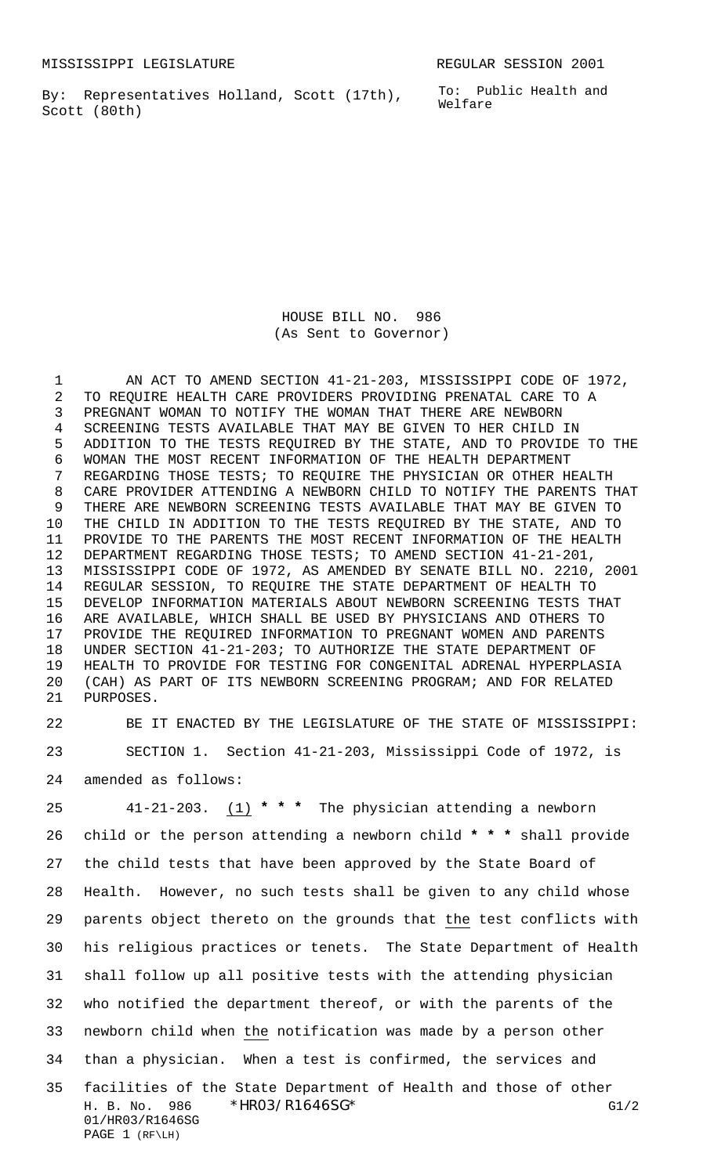MISSISSIPPI LEGISLATURE **REGULAR SESSION 2001** 

By: Representatives Holland, Scott (17th), Scott (80th)

To: Public Health and Welfare

HOUSE BILL NO. 986 (As Sent to Governor)

1 AN ACT TO AMEND SECTION 41-21-203, MISSISSIPPI CODE OF 1972, TO REQUIRE HEALTH CARE PROVIDERS PROVIDING PRENATAL CARE TO A PREGNANT WOMAN TO NOTIFY THE WOMAN THAT THERE ARE NEWBORN SCREENING TESTS AVAILABLE THAT MAY BE GIVEN TO HER CHILD IN ADDITION TO THE TESTS REQUIRED BY THE STATE, AND TO PROVIDE TO THE WOMAN THE MOST RECENT INFORMATION OF THE HEALTH DEPARTMENT REGARDING THOSE TESTS; TO REQUIRE THE PHYSICIAN OR OTHER HEALTH CARE PROVIDER ATTENDING A NEWBORN CHILD TO NOTIFY THE PARENTS THAT THERE ARE NEWBORN SCREENING TESTS AVAILABLE THAT MAY BE GIVEN TO THE CHILD IN ADDITION TO THE TESTS REQUIRED BY THE STATE, AND TO PROVIDE TO THE PARENTS THE MOST RECENT INFORMATION OF THE HEALTH DEPARTMENT REGARDING THOSE TESTS; TO AMEND SECTION 41-21-201, MISSISSIPPI CODE OF 1972, AS AMENDED BY SENATE BILL NO. 2210, 2001 REGULAR SESSION, TO REQUIRE THE STATE DEPARTMENT OF HEALTH TO DEVELOP INFORMATION MATERIALS ABOUT NEWBORN SCREENING TESTS THAT ARE AVAILABLE, WHICH SHALL BE USED BY PHYSICIANS AND OTHERS TO PROVIDE THE REQUIRED INFORMATION TO PREGNANT WOMEN AND PARENTS UNDER SECTION 41-21-203; TO AUTHORIZE THE STATE DEPARTMENT OF HEALTH TO PROVIDE FOR TESTING FOR CONGENITAL ADRENAL HYPERPLASIA (CAH) AS PART OF ITS NEWBORN SCREENING PROGRAM; AND FOR RELATED PURPOSES.

 BE IT ENACTED BY THE LEGISLATURE OF THE STATE OF MISSISSIPPI: SECTION 1. Section 41-21-203, Mississippi Code of 1972, is amended as follows:

H. B. No. 986 \* HRO3/R1646SG\* G1/2 01/HR03/R1646SG 41-21-203. (1) **\* \* \*** The physician attending a newborn child or the person attending a newborn child **\* \* \*** shall provide the child tests that have been approved by the State Board of Health. However, no such tests shall be given to any child whose parents object thereto on the grounds that the test conflicts with his religious practices or tenets. The State Department of Health shall follow up all positive tests with the attending physician who notified the department thereof, or with the parents of the newborn child when the notification was made by a person other than a physician. When a test is confirmed, the services and facilities of the State Department of Health and those of other

PAGE 1 (RF\LH)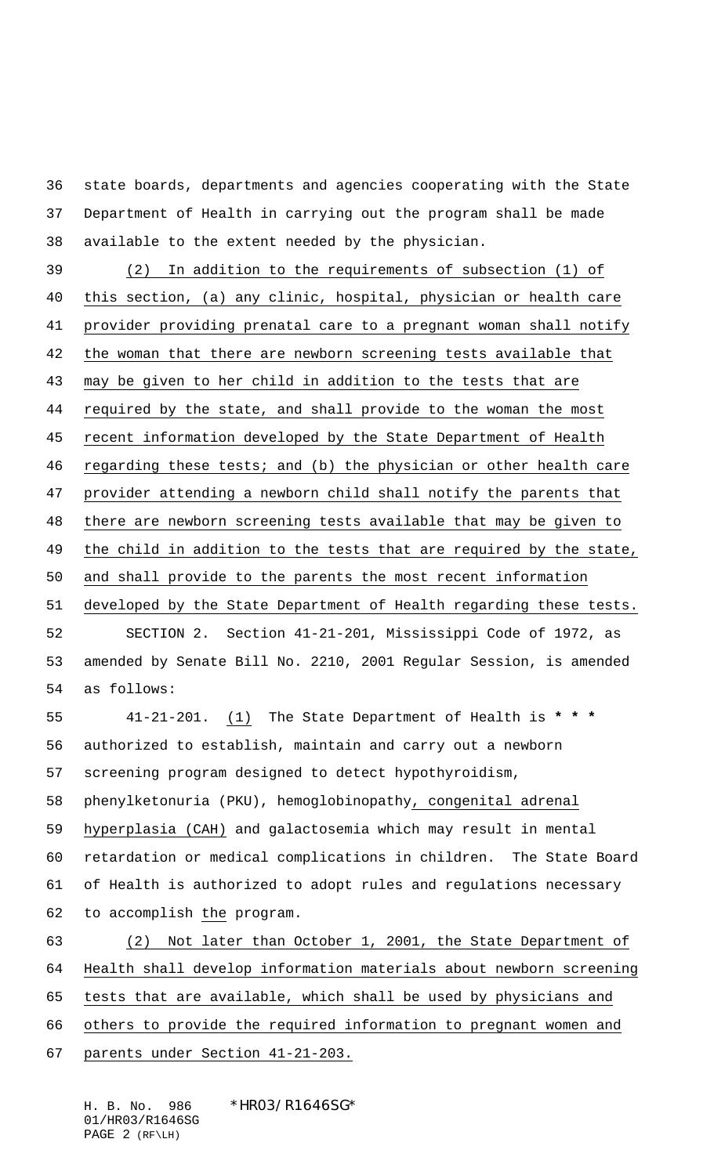state boards, departments and agencies cooperating with the State Department of Health in carrying out the program shall be made available to the extent needed by the physician.

 (2) In addition to the requirements of subsection (1) of this section, (a) any clinic, hospital, physician or health care provider providing prenatal care to a pregnant woman shall notify the woman that there are newborn screening tests available that may be given to her child in addition to the tests that are required by the state, and shall provide to the woman the most recent information developed by the State Department of Health 46 regarding these tests; and (b) the physician or other health care provider attending a newborn child shall notify the parents that there are newborn screening tests available that may be given to 49 the child in addition to the tests that are required by the state, and shall provide to the parents the most recent information developed by the State Department of Health regarding these tests. SECTION 2. Section 41-21-201, Mississippi Code of 1972, as amended by Senate Bill No. 2210, 2001 Regular Session, is amended as follows: 41-21-201. (1) The State Department of Health is **\* \* \***

 authorized to establish, maintain and carry out a newborn screening program designed to detect hypothyroidism, phenylketonuria (PKU), hemoglobinopathy, congenital adrenal hyperplasia (CAH) and galactosemia which may result in mental retardation or medical complications in children. The State Board of Health is authorized to adopt rules and regulations necessary to accomplish the program.

 (2) Not later than October 1, 2001, the State Department of Health shall develop information materials about newborn screening tests that are available, which shall be used by physicians and others to provide the required information to pregnant women and parents under Section 41-21-203.

H. B. No. 986 \*HR03/R1646SG\* 01/HR03/R1646SG PAGE 2 (RF\LH)